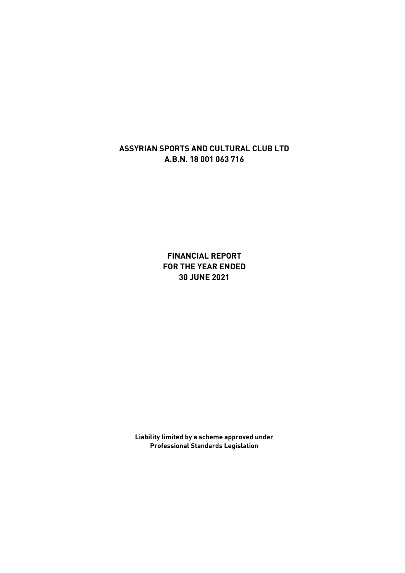**FINANCIAL REPORT FOR THE YEAR ENDED 30 JUNE 2021**

**Liability limited by a scheme approved under Professional Standards Legislation**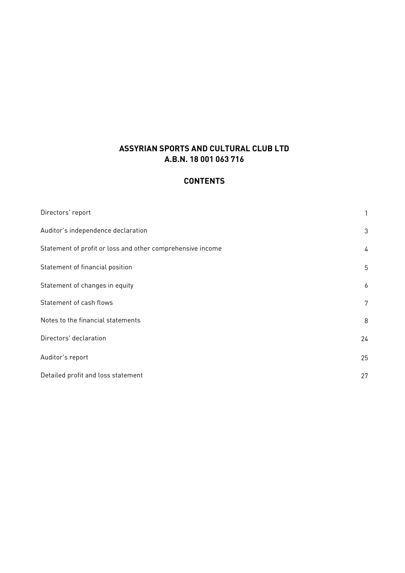# **CONTENTS**

| Directors' report                                          | 1  |
|------------------------------------------------------------|----|
| Auditor's independence declaration                         | 3  |
| Statement of profit or loss and other comprehensive income | 4  |
| Statement of financial position                            | 5  |
| Statement of changes in equity                             | 6  |
| Statement of cash flows                                    | 7  |
| Notes to the financial statements                          | 8  |
| Directors' declaration                                     | 24 |
| Auditor's report                                           | 25 |
| Detailed profit and loss statement                         | 27 |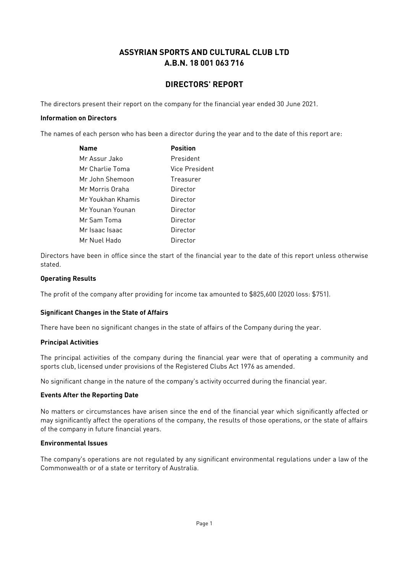### **DIRECTORS' REPORT**

The directors present their report on the company for the financial year ended 30 June 2021.

#### **Information on Directors**

The names of each person who has been a director during the year and to the date of this report are:

| Name              | <b>Position</b> |
|-------------------|-----------------|
| Mr Assur Jako     | President       |
| Mr Charlie Toma   | Vice President  |
| Mr. John Shemoon  | Treasurer       |
| Mr Morris Oraha   | Director        |
| Mr Youkhan Khamis | Director        |
| Mr Younan Younan  | Director        |
| Mr Sam Toma       | Director        |
| Mr Isaac Isaac    | Director        |
| Mr Nuel Hado      | Director        |

Directors have been in office since the start of the financial year to the date of this report unless otherwise stated.

#### **Operating Results**

The profit of the company after providing for income tax amounted to \$825,600 (2020 loss: \$751).

#### **Significant Changes in the State of Affairs**

There have been no significant changes in the state of affairs of the Company during the year.

#### **Principal Activities**

The principal activities of the company during the financial year were that of operating a community and sports club, licensed under provisions of the Registered Clubs Act 1976 as amended.

No significant change in the nature of the company's activity occurred during the financial year.

#### **Events After the Reporting Date**

No matters or circumstances have arisen since the end of the financial year which significantly affected or may significantly affect the operations of the company, the results of those operations, or the state of affairs of the company in future financial years.

#### **Environmental Issues**

The company's operations are not regulated by any significant environmental regulations under a law of the Commonwealth or of a state or territory of Australia.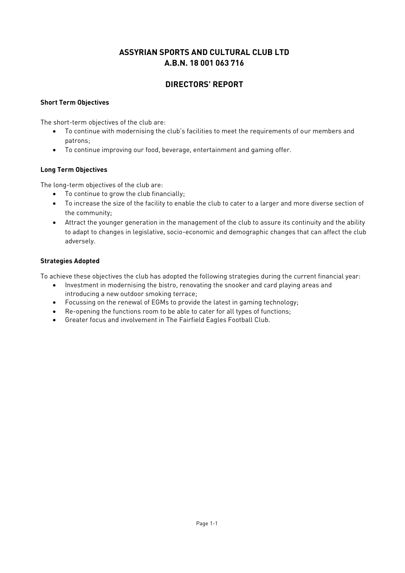### **DIRECTORS' REPORT**

#### **Short Term Objectives**

The short-term objectives of the club are:

- To continue with modernising the club's facilities to meet the requirements of our members and patrons;
- To continue improving our food, beverage, entertainment and gaming offer.

#### **Long Term Objectives**

The long-term objectives of the club are:

- To continue to grow the club financially;
- To increase the size of the facility to enable the club to cater to a larger and more diverse section of the community;
- Attract the younger generation in the management of the club to assure its continuity and the ability to adapt to changes in legislative, socio-economic and demographic changes that can affect the club adversely.

#### **Strategies Adopted**

To achieve these objectives the club has adopted the following strategies during the current financial year:

- Investment in modernising the bistro, renovating the snooker and card playing areas and introducing a new outdoor smoking terrace;
- Focussing on the renewal of EGMs to provide the latest in gaming technology;
- Re-opening the functions room to be able to cater for all types of functions;
- Greater focus and involvement in The Fairfield Eagles Football Club.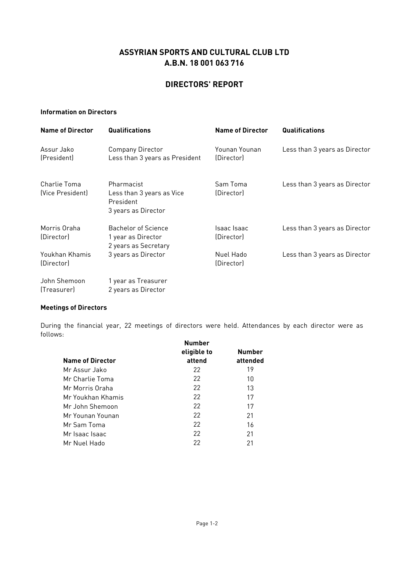#### **DIRECTORS' REPORT**

#### **Information on Directors**

| <b>Name of Director</b>          | Qualifications                                                              | <b>Name of Director</b>     | Qualifications                |
|----------------------------------|-----------------------------------------------------------------------------|-----------------------------|-------------------------------|
| Assur Jako<br>(President)        | <b>Company Director</b><br>Less than 3 years as President                   | Younan Younan<br>(Director) | Less than 3 years as Director |
| Charlie Toma<br>(Vice President) | Pharmacist<br>Less than 3 years as Vice<br>President<br>3 years as Director | Sam Toma<br>(Director)      | Less than 3 years as Director |
| Morris Oraha<br>(Director)       | <b>Bachelor of Science</b><br>1 year as Director<br>2 years as Secretary    | Isaac Isaac<br>(Director)   | Less than 3 years as Director |
| Youkhan Khamis<br>(Director)     | 3 years as Director                                                         | Nuel Hado<br>(Director)     | Less than 3 years as Director |
| John Shemoon<br>(Treasurer)      | 1 year as Treasurer<br>2 years as Director                                  |                             |                               |

#### **Meetings of Directors**

During the financial year, 22 meetings of directors were held. Attendances by each director were as follows:

| <b>Name of Director</b> | <b>Number</b><br>eligible to<br>attend | <b>Number</b><br>attended |
|-------------------------|----------------------------------------|---------------------------|
| Mr Assur Jako           | 22                                     | 19                        |
| Mr Charlie Toma         | 22                                     | 10                        |
| Mr Morris Oraha         | 22                                     | 13                        |
| Mr Youkhan Khamis       | 22                                     | 17                        |
| Mr John Shemoon         | 22                                     | 17                        |
| Mr Younan Younan        | 22                                     | 21                        |
| Mr Sam Toma             | 22                                     | 16                        |
| Mr Isaac Isaac          | 22                                     | 21                        |
| Mr Nuel Hado            | 22                                     | 21                        |
|                         |                                        |                           |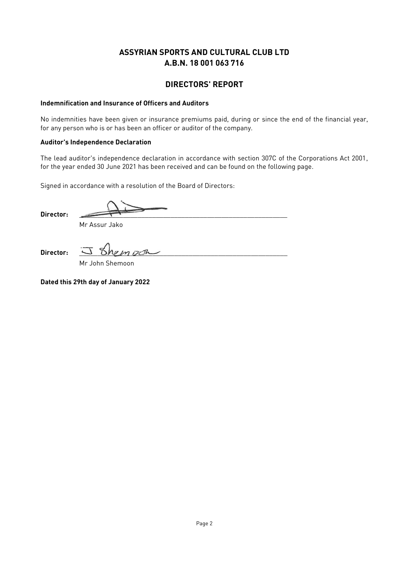#### **DIRECTORS' REPORT**

#### **Indemnification and Insurance of Officers and Auditors**

No indemnities have been given or insurance premiums paid, during or since the end of the financial year, for any person who is or has been an officer or auditor of the company.

#### **Auditor's Independence Declaration**

The lead auditor's independence declaration in accordance with section 307C of the Corporations Act 2001, for the year ended 30 June 2021 has been received and can be found on the following page.

Signed in accordance with a resolution of the Board of Directors:

**Director:** \_\_\_\_\_\_\_\_\_\_\_\_\_\_\_\_\_\_\_\_\_\_\_\_\_\_\_\_\_\_\_\_\_\_\_\_\_\_\_\_\_\_\_\_\_\_\_\_\_\_\_\_\_\_\_\_\_

Mr Assur Jako

**Director:** \_\_\_\_\_\_\_\_\_\_\_\_\_\_\_\_\_\_\_\_\_\_\_\_\_\_\_\_\_\_\_\_\_\_\_\_\_\_\_\_\_\_\_\_\_\_\_\_\_\_\_\_\_\_\_\_\_

Mr John Shemoon

**Dated this 29th day of January 2022**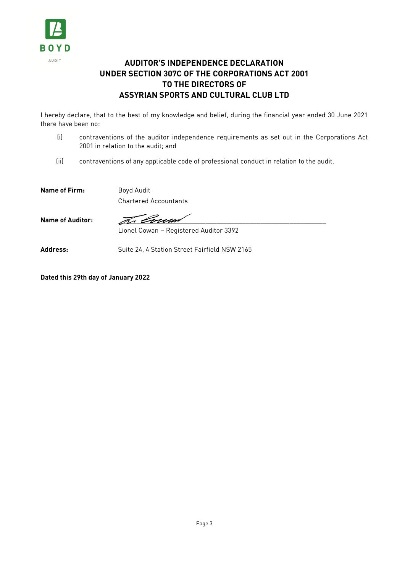

# **AUDITOR'S INDEPENDENCE DECLARATION UNDER SECTION 307C OF THE CORPORATIONS ACT 2001 TO THE DIRECTORS OF ASSYRIAN SPORTS AND CULTURAL CLUB LTD**

I hereby declare, that to the best of my knowledge and belief, during the financial year ended 30 June 2021 there have been no:

- (i) contraventions of the auditor independence requirements as set out in the Corporations Act 2001 in relation to the audit; and
- (ii) contraventions of any applicable code of professional conduct in relation to the audit.

**Name of Firm:** Boyd Audit

Chartered Accountants

Name of Auditor: **Zetter Services** 

Lionel Cowan – Registered Auditor 3392

Address: Suite 24, 4 Station Street Fairfield NSW 2165

**Dated this 29th day of January 2022**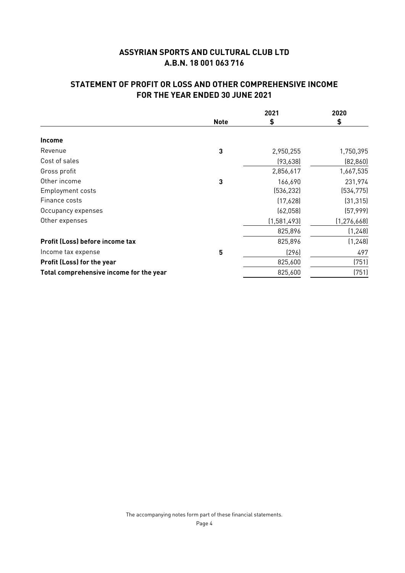# **STATEMENT OF PROFIT OR LOSS AND OTHER COMPREHENSIVE INCOME FOR THE YEAR ENDED 30 JUNE 2021**

|                                         |             | 2021        | 2020          |
|-----------------------------------------|-------------|-------------|---------------|
|                                         | <b>Note</b> | \$          | \$            |
| <b>Income</b>                           |             |             |               |
| Revenue                                 | 3           | 2,950,255   | 1,750,395     |
| Cost of sales                           |             | (93, 638)   | (82, 860)     |
| Gross profit                            |             | 2,856,617   | 1,667,535     |
| Other income                            | 3           | 166,690     | 231,974       |
| <b>Employment costs</b>                 |             | (536, 232)  | (534, 775)    |
| Finance costs                           |             | (17,628)    | (31, 315)     |
| Occupancy expenses                      |             | (62,058)    | (57,999)      |
| Other expenses                          |             | (1,581,493) | (1, 276, 668) |
|                                         |             | 825,896     | (1, 248)      |
| Profit (Loss) before income tax         |             | 825,896     | (1, 248)      |
| Income tax expense                      | 5           | (296)       | 497           |
| Profit (Loss) for the year              |             | 825,600     | (751)         |
| Total comprehensive income for the year |             | 825,600     | (751)         |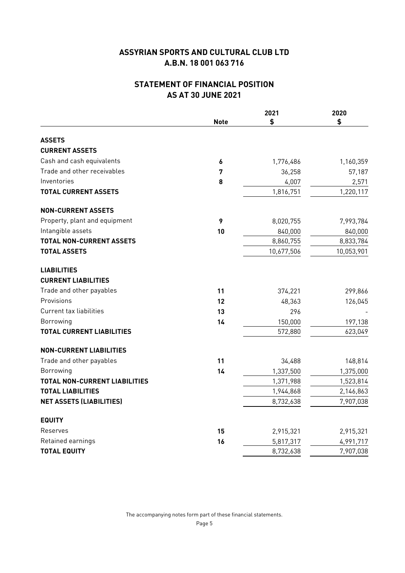## **STATEMENT OF FINANCIAL POSITION AS AT 30 JUNE 2021**

|                                      |             | 2021       | 2020       |
|--------------------------------------|-------------|------------|------------|
|                                      | <b>Note</b> | \$         | \$         |
| <b>ASSETS</b>                        |             |            |            |
| <b>CURRENT ASSETS</b>                |             |            |            |
| Cash and cash equivalents            | 6           | 1,776,486  | 1,160,359  |
| Trade and other receivables          | 7           | 36,258     | 57,187     |
| Inventories                          | 8           | 4,007      | 2,571      |
| <b>TOTAL CURRENT ASSETS</b>          |             | 1,816,751  | 1,220,117  |
| <b>NON-CURRENT ASSETS</b>            |             |            |            |
| Property, plant and equipment        | 9           | 8,020,755  | 7,993,784  |
| Intangible assets                    | 10          | 840,000    | 840,000    |
| <b>TOTAL NON-CURRENT ASSETS</b>      |             | 8,860,755  | 8,833,784  |
| <b>TOTAL ASSETS</b>                  |             | 10,677,506 | 10,053,901 |
| <b>LIABILITIES</b>                   |             |            |            |
| <b>CURRENT LIABILITIES</b>           |             |            |            |
| Trade and other payables             | 11          | 374,221    | 299,866    |
| Provisions                           | 12          | 48,363     | 126,045    |
| Current tax liabilities              | 13          | 296        |            |
| Borrowing                            | 14          | 150,000    | 197,138    |
| <b>TOTAL CURRENT LIABILITIES</b>     |             | 572,880    | 623,049    |
| <b>NON-CURRENT LIABILITIES</b>       |             |            |            |
| Trade and other payables             | 11          | 34,488     | 148,814    |
| Borrowing                            | 14          | 1,337,500  | 1,375,000  |
| <b>TOTAL NON-CURRENT LIABILITIES</b> |             | 1,371,988  | 1,523,814  |
| <b>TOTAL LIABILITIES</b>             |             | 1,944,868  | 2,146,863  |
| <b>NET ASSETS (LIABILITIES)</b>      |             | 8,732,638  | 7,907,038  |
| <b>EQUITY</b>                        |             |            |            |
| Reserves                             | 15          | 2,915,321  | 2,915,321  |
| Retained earnings                    | 16          | 5,817,317  | 4,991,717  |
| <b>TOTAL EQUITY</b>                  |             | 8,732,638  | 7,907,038  |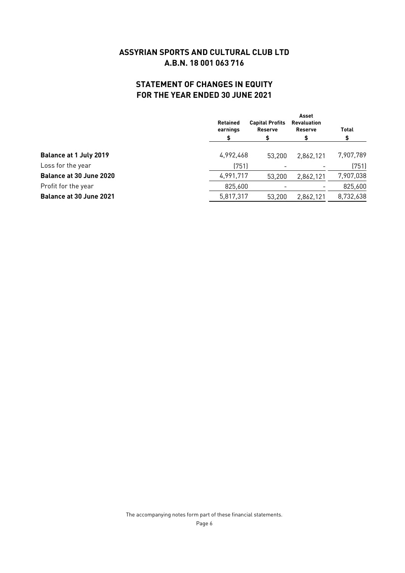# **STATEMENT OF CHANGES IN EQUITY FOR THE YEAR ENDED 30 JUNE 2021**

|                                | <b>Retained</b><br>earnings | <b>Capital Profits</b><br><b>Reserve</b><br>\$ | Asset<br><b>Revaluation</b><br><b>Reserve</b> | <b>Total</b> |
|--------------------------------|-----------------------------|------------------------------------------------|-----------------------------------------------|--------------|
| <b>Balance at 1 July 2019</b>  | 4,992,468                   | 53.200                                         | 2,862,121                                     | 7,907,789    |
| Loss for the year              | (751)                       |                                                |                                               | (751)        |
| Balance at 30 June 2020        | 4,991,717                   | 53,200                                         | 2,862,121                                     | 7,907,038    |
| Profit for the year            | 825,600                     |                                                |                                               | 825,600      |
| <b>Balance at 30 June 2021</b> | 5,817,317                   | 53.200                                         | 2,862,121                                     | 8,732,638    |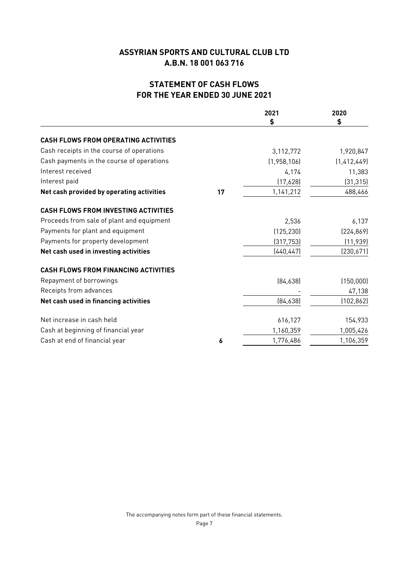# **STATEMENT OF CASH FLOWS FOR THE YEAR ENDED 30 JUNE 2021**

|                                             |    | 2021        | 2020          |
|---------------------------------------------|----|-------------|---------------|
|                                             |    | \$          | \$            |
| <b>CASH FLOWS FROM OPERATING ACTIVITIES</b> |    |             |               |
| Cash receipts in the course of operations   |    | 3,112,772   | 1,920,847     |
| Cash payments in the course of operations   |    | (1,958,106) | (1, 412, 449) |
| Interest received                           |    | 4,174       | 11,383        |
| Interest paid                               |    | (17,628)    | (31, 315)     |
| Net cash provided by operating activities   | 17 | 1,141,212   | 488,466       |
| <b>CASH FLOWS FROM INVESTING ACTIVITIES</b> |    |             |               |
| Proceeds from sale of plant and equipment   |    | 2,536       | 6,137         |
| Payments for plant and equipment            |    | (125, 230)  | (224, 869)    |
| Payments for property development           |    | (317, 753)  | (11, 939)     |
| Net cash used in investing activities       |    | (440, 447)  | (230,671)     |
| <b>CASH FLOWS FROM FINANCING ACTIVITIES</b> |    |             |               |
| Repayment of borrowings                     |    | [84,638]    | (150,000)     |
| Receipts from advances                      |    |             | 47,138        |
| Net cash used in financing activities       |    | [84,638]    | (102, 862)    |
| Net increase in cash held                   |    | 616,127     | 154,933       |
| Cash at beginning of financial year         |    | 1,160,359   | 1,005,426     |
| Cash at end of financial year               | 6  | 1,776,486   | 1,106,359     |
|                                             |    |             |               |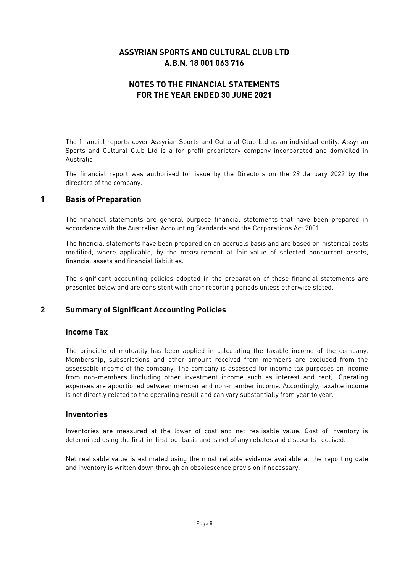## **NOTES TO THE FINANCIAL STATEMENTS FOR THE YEAR ENDED 30 JUNE 2021**

The financial reports cover Assyrian Sports and Cultural Club Ltd as an individual entity. Assyrian Sports and Cultural Club Ltd is a for profit proprietary company incorporated and domiciled in Australia.

The financial report was authorised for issue by the Directors on the 29 January 2022 by the directors of the company.

#### **1 Basis of Preparation**

The financial statements are general purpose financial statements that have been prepared in accordance with the Australian Accounting Standards and the Corporations Act 2001.

The financial statements have been prepared on an accruals basis and are based on historical costs modified, where applicable, by the measurement at fair value of selected noncurrent assets, financial assets and financial liabilities.

The significant accounting policies adopted in the preparation of these financial statements are presented below and are consistent with prior reporting periods unless otherwise stated.

#### **2 Summary of Significant Accounting Policies**

#### **Income Tax**

The principle of mutuality has been applied in calculating the taxable income of the company. Membership, subscriptions and other amount received from members are excluded from the assessable income of the company. The company is assessed for income tax purposes on income from non-members (including other investment income such as interest and rent). Operating expenses are apportioned between member and non-member income. Accordingly, taxable income is not directly related to the operating result and can vary substantially from year to year.

#### **Inventories**

Inventories are measured at the lower of cost and net realisable value. Cost of inventory is determined using the first-in-first-out basis and is net of any rebates and discounts received.

Net realisable value is estimated using the most reliable evidence available at the reporting date and inventory is written down through an obsolescence provision if necessary.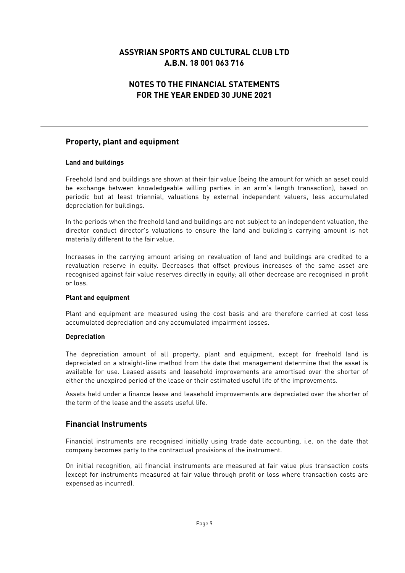### **NOTES TO THE FINANCIAL STATEMENTS FOR THE YEAR ENDED 30 JUNE 2021**

#### **Property, plant and equipment**

#### **Land and buildings**

Freehold land and buildings are shown at their fair value (being the amount for which an asset could be exchange between knowledgeable willing parties in an arm's length transaction), based on periodic but at least triennial, valuations by external independent valuers, less accumulated depreciation for buildings.

In the periods when the freehold land and buildings are not subject to an independent valuation, the director conduct director's valuations to ensure the land and building's carrying amount is not materially different to the fair value.

Increases in the carrying amount arising on revaluation of land and buildings are credited to a revaluation reserve in equity. Decreases that offset previous increases of the same asset are recognised against fair value reserves directly in equity; all other decrease are recognised in profit or loss.

#### **Plant and equipment**

Plant and equipment are measured using the cost basis and are therefore carried at cost less accumulated depreciation and any accumulated impairment losses.

#### **Depreciation**

The depreciation amount of all property, plant and equipment, except for freehold land is depreciated on a straight-line method from the date that management determine that the asset is available for use. Leased assets and leasehold improvements are amortised over the shorter of either the unexpired period of the lease or their estimated useful life of the improvements.

Assets held under a finance lease and leasehold improvements are depreciated over the shorter of the term of the lease and the assets useful life.

### **Financial Instruments**

Financial instruments are recognised initially using trade date accounting, i.e. on the date that company becomes party to the contractual provisions of the instrument.

On initial recognition, all financial instruments are measured at fair value plus transaction costs (except for instruments measured at fair value through profit or loss where transaction costs are expensed as incurred).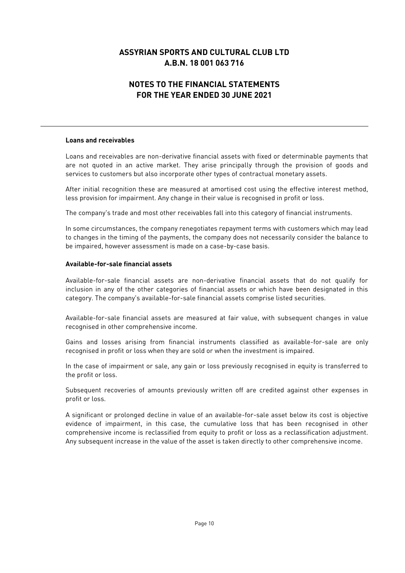## **NOTES TO THE FINANCIAL STATEMENTS FOR THE YEAR ENDED 30 JUNE 2021**

#### **Loans and receivables**

Loans and receivables are non-derivative financial assets with fixed or determinable payments that are not quoted in an active market. They arise principally through the provision of goods and services to customers but also incorporate other types of contractual monetary assets.

After initial recognition these are measured at amortised cost using the effective interest method, less provision for impairment. Any change in their value is recognised in profit or loss.

The company's trade and most other receivables fall into this category of financial instruments.

In some circumstances, the company renegotiates repayment terms with customers which may lead to changes in the timing of the payments, the company does not necessarily consider the balance to be impaired, however assessment is made on a case-by-case basis.

#### **Available-for-sale financial assets**

Available-for-sale financial assets are non-derivative financial assets that do not qualify for inclusion in any of the other categories of financial assets or which have been designated in this category. The company's available-for-sale financial assets comprise listed securities.

Available-for-sale financial assets are measured at fair value, with subsequent changes in value recognised in other comprehensive income.

Gains and losses arising from financial instruments classified as available-for-sale are only recognised in profit or loss when they are sold or when the investment is impaired.

In the case of impairment or sale, any gain or loss previously recognised in equity is transferred to the profit or loss.

Subsequent recoveries of amounts previously written off are credited against other expenses in profit or loss.

A significant or prolonged decline in value of an available-for-sale asset below its cost is objective evidence of impairment, in this case, the cumulative loss that has been recognised in other comprehensive income is reclassified from equity to profit or loss as a reclassification adjustment. Any subsequent increase in the value of the asset is taken directly to other comprehensive income.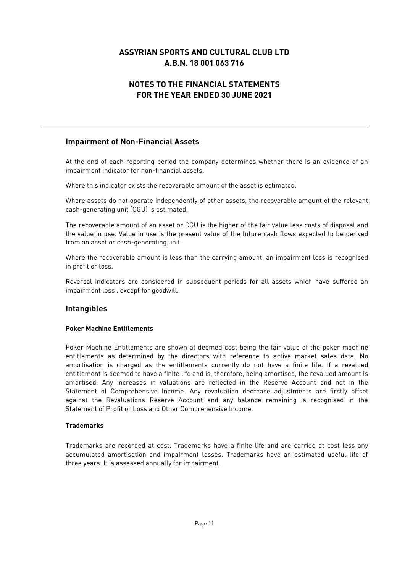### **NOTES TO THE FINANCIAL STATEMENTS FOR THE YEAR ENDED 30 JUNE 2021**

#### **Impairment of Non-Financial Assets**

At the end of each reporting period the company determines whether there is an evidence of an impairment indicator for non-financial assets.

Where this indicator exists the recoverable amount of the asset is estimated.

Where assets do not operate independently of other assets, the recoverable amount of the relevant cash-generating unit (CGU) is estimated.

The recoverable amount of an asset or CGU is the higher of the fair value less costs of disposal and the value in use. Value in use is the present value of the future cash flows expected to be derived from an asset or cash-generating unit.

Where the recoverable amount is less than the carrying amount, an impairment loss is recognised in profit or loss.

Reversal indicators are considered in subsequent periods for all assets which have suffered an impairment loss , except for goodwill.

#### **Intangibles**

#### **Poker Machine Entitlements**

Poker Machine Entitlements are shown at deemed cost being the fair value of the poker machine entitlements as determined by the directors with reference to active market sales data. No amortisation is charged as the entitlements currently do not have a finite life. If a revalued entitlement is deemed to have a finite life and is, therefore, being amortised, the revalued amount is amortised. Any increases in valuations are reflected in the Reserve Account and not in the Statement of Comprehensive Income. Any revaluation decrease adjustments are firstly offset against the Revaluations Reserve Account and any balance remaining is recognised in the Statement of Profit or Loss and Other Comprehensive Income.

#### **Trademarks**

Trademarks are recorded at cost. Trademarks have a finite life and are carried at cost less any accumulated amortisation and impairment losses. Trademarks have an estimated useful life of three years. It is assessed annually for impairment.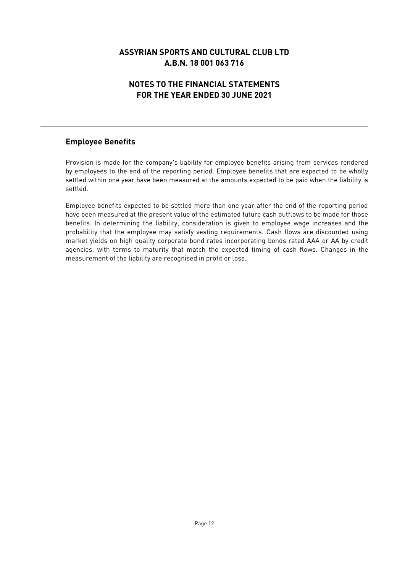# **NOTES TO THE FINANCIAL STATEMENTS FOR THE YEAR ENDED 30 JUNE 2021**

### **Employee Benefits**

Provision is made for the company's liability for employee benefits arising from services rendered by employees to the end of the reporting period. Employee benefits that are expected to be wholly settled within one year have been measured at the amounts expected to be paid when the liability is settled.

Employee benefits expected to be settled more than one year after the end of the reporting period have been measured at the present value of the estimated future cash outflows to be made for those benefits. In determining the liability, consideration is given to employee wage increases and the probability that the employee may satisfy vesting requirements. Cash flows are discounted using market yields on high quality corporate bond rates incorporating bonds rated AAA or AA by credit agencies, with terms to maturity that match the expected timing of cash flows. Changes in the measurement of the liability are recognised in profit or loss.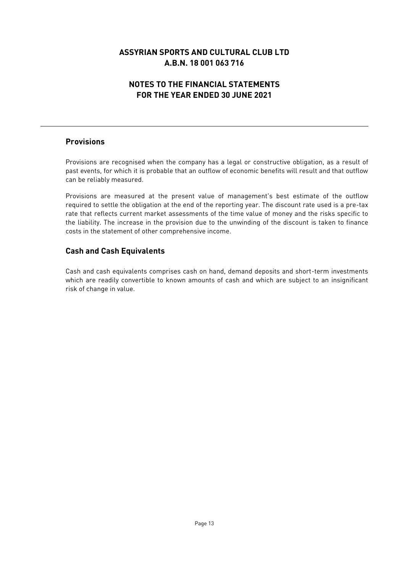# **NOTES TO THE FINANCIAL STATEMENTS FOR THE YEAR ENDED 30 JUNE 2021**

#### **Provisions**

Provisions are recognised when the company has a legal or constructive obligation, as a result of past events, for which it is probable that an outflow of economic benefits will result and that outflow can be reliably measured.

Provisions are measured at the present value of management's best estimate of the outflow required to settle the obligation at the end of the reporting year. The discount rate used is a pre-tax rate that reflects current market assessments of the time value of money and the risks specific to the liability. The increase in the provision due to the unwinding of the discount is taken to finance costs in the statement of other comprehensive income.

#### **Cash and Cash Equivalents**

Cash and cash equivalents comprises cash on hand, demand deposits and short-term investments which are readily convertible to known amounts of cash and which are subject to an insignificant risk of change in value.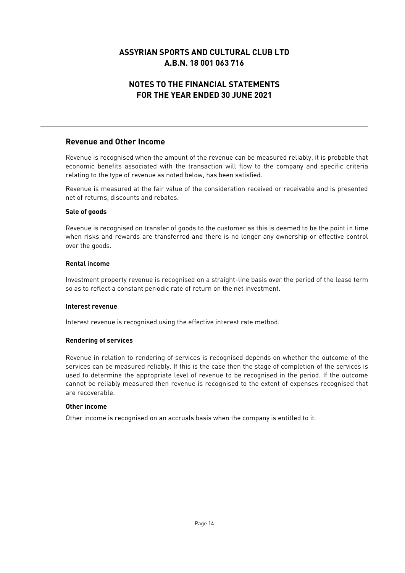# **NOTES TO THE FINANCIAL STATEMENTS FOR THE YEAR ENDED 30 JUNE 2021**

#### **Revenue and Other Income**

Revenue is recognised when the amount of the revenue can be measured reliably, it is probable that economic benefits associated with the transaction will flow to the company and specific criteria relating to the type of revenue as noted below, has been satisfied.

Revenue is measured at the fair value of the consideration received or receivable and is presented net of returns, discounts and rebates.

#### **Sale of goods**

Revenue is recognised on transfer of goods to the customer as this is deemed to be the point in time when risks and rewards are transferred and there is no longer any ownership or effective control over the goods.

#### **Rental income**

Investment property revenue is recognised on a straight-line basis over the period of the lease term so as to reflect a constant periodic rate of return on the net investment.

#### **Interest revenue**

Interest revenue is recognised using the effective interest rate method.

#### **Rendering of services**

Revenue in relation to rendering of services is recognised depends on whether the outcome of the services can be measured reliably. If this is the case then the stage of completion of the services is used to determine the appropriate level of revenue to be recognised in the period. If the outcome cannot be reliably measured then revenue is recognised to the extent of expenses recognised that are recoverable.

#### **Other income**

Other income is recognised on an accruals basis when the company is entitled to it.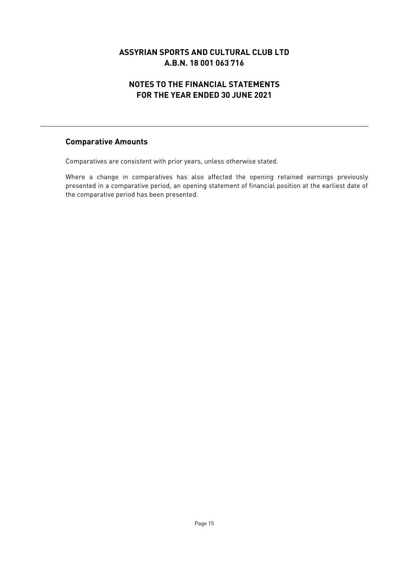## **NOTES TO THE FINANCIAL STATEMENTS FOR THE YEAR ENDED 30 JUNE 2021**

#### **Comparative Amounts**

Comparatives are consistent with prior years, unless otherwise stated.

Where a change in comparatives has also affected the opening retained earnings previously presented in a comparative period, an opening statement of financial position at the earliest date of the comparative period has been presented.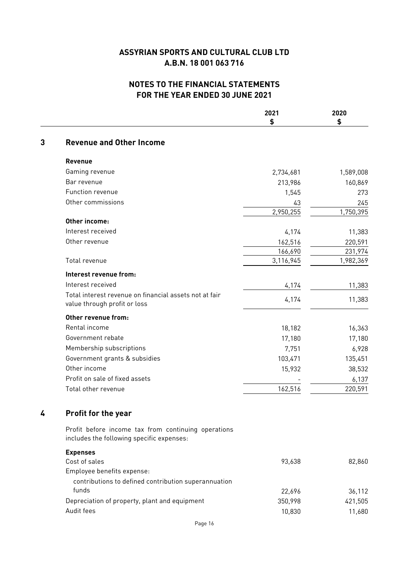## **NOTES TO THE FINANCIAL STATEMENTS FOR THE YEAR ENDED 30 JUNE 2021**

|   |                                                                                                  | 2021<br>\$ | 2020<br>\$ |
|---|--------------------------------------------------------------------------------------------------|------------|------------|
| 3 | <b>Revenue and Other Income</b>                                                                  |            |            |
|   | Revenue                                                                                          |            |            |
|   | Gaming revenue                                                                                   | 2,734,681  | 1,589,008  |
|   | Bar revenue                                                                                      | 213,986    | 160,869    |
|   | Function revenue                                                                                 | 1,545      | 273        |
|   | Other commissions                                                                                | 43         | 245        |
|   |                                                                                                  | 2,950,255  | 1,750,395  |
|   | <b>Other income:</b>                                                                             |            |            |
|   | Interest received                                                                                | 4,174      | 11,383     |
|   | Other revenue                                                                                    | 162,516    | 220,591    |
|   |                                                                                                  | 166,690    | 231,974    |
|   | Total revenue                                                                                    | 3,116,945  | 1,982,369  |
|   | Interest revenue from:                                                                           |            |            |
|   | Interest received                                                                                | 4,174      | 11,383     |
|   | Total interest revenue on financial assets not at fair<br>value through profit or loss           | 4,174      | 11,383     |
|   | Other revenue from:                                                                              |            |            |
|   | Rental income                                                                                    | 18,182     | 16,363     |
|   | Government rebate                                                                                | 17,180     | 17,180     |
|   | Membership subscriptions                                                                         | 7,751      | 6,928      |
|   | Government grants & subsidies                                                                    | 103,471    | 135,451    |
|   | Other income                                                                                     | 15,932     | 38,532     |
|   | Profit on sale of fixed assets                                                                   |            | 6,137      |
|   | Total other revenue                                                                              | 162,516    | 220,591    |
|   |                                                                                                  |            |            |
| 4 | <b>Profit for the year</b>                                                                       |            |            |
|   | Profit before income tax from continuing operations<br>includes the following specific expenses: |            |            |
|   | <b>Expenses</b>                                                                                  |            |            |
|   | Cost of sales                                                                                    | 93,638     | 82,860     |
|   | Employee benefits expense:                                                                       |            |            |
|   | contributions to defined contribution superannuation                                             |            |            |
|   | funds                                                                                            | 22,696     | 36,112     |
|   | Depreciation of property, plant and equipment                                                    | 350,998    | 421,505    |
|   | Audit fees                                                                                       | 10,830     | 11,680     |
|   |                                                                                                  |            |            |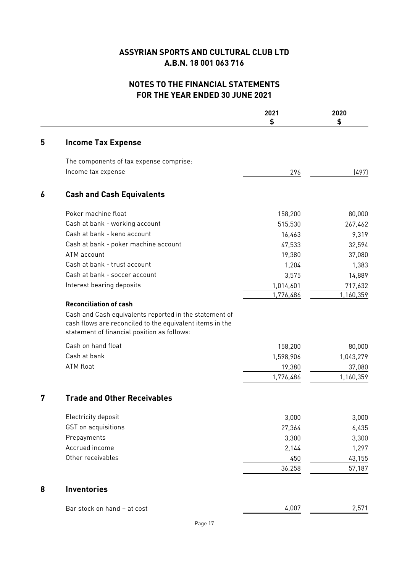# **NOTES TO THE FINANCIAL STATEMENTS FOR THE YEAR ENDED 30 JUNE 2021**

|   |                                                                                                                                                                   | 2021<br>\$ | 2020<br>\$ |
|---|-------------------------------------------------------------------------------------------------------------------------------------------------------------------|------------|------------|
| 5 | <b>Income Tax Expense</b>                                                                                                                                         |            |            |
|   | The components of tax expense comprise:                                                                                                                           |            |            |
|   | Income tax expense                                                                                                                                                | 296        | (497)      |
| 6 | <b>Cash and Cash Equivalents</b>                                                                                                                                  |            |            |
|   | Poker machine float                                                                                                                                               | 158,200    | 80,000     |
|   | Cash at bank - working account                                                                                                                                    | 515,530    | 267,462    |
|   | Cash at bank - keno account                                                                                                                                       | 16,463     | 9,319      |
|   | Cash at bank - poker machine account                                                                                                                              | 47,533     | 32,594     |
|   | ATM account                                                                                                                                                       | 19,380     | 37,080     |
|   | Cash at bank - trust account                                                                                                                                      | 1,204      | 1,383      |
|   | Cash at bank - soccer account                                                                                                                                     | 3,575      | 14,889     |
|   | Interest bearing deposits                                                                                                                                         | 1,014,601  | 717,632    |
|   |                                                                                                                                                                   | 1,776,486  | 1,160,359  |
|   | Cash and Cash equivalents reported in the statement of<br>cash flows are reconciled to the equivalent items in the<br>statement of financial position as follows: |            |            |
|   | Cash on hand float                                                                                                                                                | 158,200    | 80,000     |
|   | Cash at bank                                                                                                                                                      | 1,598,906  | 1,043,279  |
|   | ATM float                                                                                                                                                         | 19,380     | 37,080     |
|   |                                                                                                                                                                   | 1,776,486  | 1,160,359  |
| 7 | <b>Trade and Other Receivables</b>                                                                                                                                |            |            |
|   | Electricity deposit                                                                                                                                               | 3,000      | 3,000      |
|   | GST on acquisitions                                                                                                                                               | 27,364     | 6,435      |
|   | Prepayments                                                                                                                                                       | 3,300      | 3,300      |
|   | Accrued income                                                                                                                                                    | 2,144      | 1,297      |
|   | Other receivables                                                                                                                                                 | 450        | 43,155     |
|   |                                                                                                                                                                   | 36,258     | 57,187     |
| 8 | <b>Inventories</b>                                                                                                                                                |            |            |
|   | Bar stock on hand - at cost                                                                                                                                       | 4,007      | 2,571      |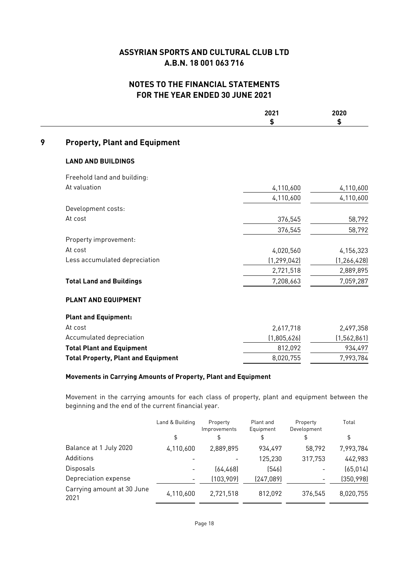### **NOTES TO THE FINANCIAL STATEMENTS FOR THE YEAR ENDED 30 JUNE 2021**

|   |                                            | 2021<br>\$    | 2020<br>\$    |
|---|--------------------------------------------|---------------|---------------|
| 9 | <b>Property, Plant and Equipment</b>       |               |               |
|   | <b>LAND AND BUILDINGS</b>                  |               |               |
|   | Freehold land and building:                |               |               |
|   | At valuation                               | 4,110,600     | 4,110,600     |
|   |                                            | 4,110,600     | 4,110,600     |
|   | Development costs:                         |               |               |
|   | At cost                                    | 376,545       | 58,792        |
|   |                                            | 376,545       | 58,792        |
|   | Property improvement:                      |               |               |
|   | At cost                                    | 4,020,560     | 4,156,323     |
|   | Less accumulated depreciation              | (1, 299, 042) | (1, 266, 428) |
|   |                                            | 2,721,518     | 2,889,895     |
|   | <b>Total Land and Buildings</b>            | 7,208,663     | 7,059,287     |
|   | <b>PLANT AND EQUIPMENT</b>                 |               |               |
|   | <b>Plant and Equipment:</b>                |               |               |
|   | At cost                                    | 2,617,718     | 2,497,358     |
|   | Accumulated depreciation                   | (1,805,626)   | (1, 562, 861) |
|   | <b>Total Plant and Equipment</b>           | 812,092       | 934,497       |
|   | <b>Total Property, Plant and Equipment</b> | 8,020,755     | 7,993,784     |

#### **Movements in Carrying Amounts of Property, Plant and Equipment**

Movement in the carrying amounts for each class of property, plant and equipment between the beginning and the end of the current financial year.

|                                    | Land & Building<br>\$ | Property<br>Improvements<br>\$ | Plant and<br>Equipment<br>\$ | Property<br>Development<br>\$ | Total<br>\$ |
|------------------------------------|-----------------------|--------------------------------|------------------------------|-------------------------------|-------------|
| Balance at 1 July 2020             | 4,110,600             | 2,889,895                      | 934.497                      | 58,792                        | 7,993,784   |
| Additions                          |                       |                                | 125,230                      | 317,753                       | 442,983     |
| Disposals                          |                       | (64, 468)                      | [546]                        |                               | (65, 014)   |
| Depreciation expense               |                       | (103, 909)                     | (247,089)                    |                               | (350, 998)  |
| Carrying amount at 30 June<br>2021 | 4,110,600             | 2,721,518                      | 812,092                      | 376,545                       | 8,020,755   |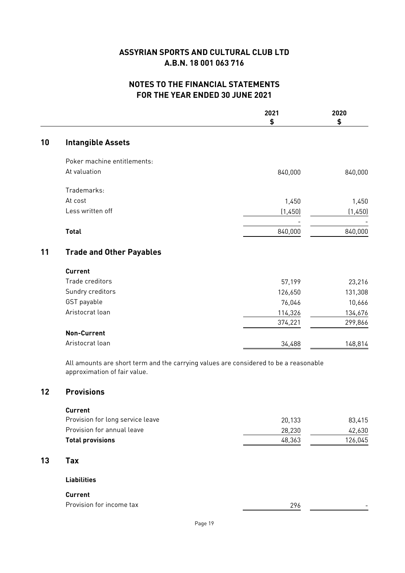## **NOTES TO THE FINANCIAL STATEMENTS FOR THE YEAR ENDED 30 JUNE 2021**

|    |                                                                                                                      | 2021    | 2020    |
|----|----------------------------------------------------------------------------------------------------------------------|---------|---------|
|    |                                                                                                                      | \$      | \$      |
| 10 | <b>Intangible Assets</b>                                                                                             |         |         |
|    | Poker machine entitlements:                                                                                          |         |         |
|    | At valuation                                                                                                         | 840,000 | 840,000 |
|    | Trademarks:                                                                                                          |         |         |
|    | At cost                                                                                                              | 1,450   | 1,450   |
|    | Less written off                                                                                                     | (1,450) | (1,450) |
|    | <b>Total</b>                                                                                                         | 840,000 | 840,000 |
| 11 | <b>Trade and Other Payables</b>                                                                                      |         |         |
|    | <b>Current</b>                                                                                                       |         |         |
|    | Trade creditors                                                                                                      | 57,199  | 23,216  |
|    | Sundry creditors                                                                                                     | 126,650 | 131,308 |
|    | GST payable                                                                                                          | 76,046  | 10,666  |
|    | Aristocrat loan                                                                                                      | 114,326 | 134,676 |
|    |                                                                                                                      | 374,221 | 299,866 |
|    | <b>Non-Current</b>                                                                                                   |         |         |
|    | Aristocrat loan                                                                                                      | 34,488  | 148,814 |
|    | All amounts are short term and the carrying values are considered to be a reasonable<br>approximation of fair value. |         |         |
| 12 | <b>Provisions</b>                                                                                                    |         |         |
|    | <b>Current</b>                                                                                                       |         |         |
|    | Provision for long service leave                                                                                     | 20,133  | 83,415  |
|    | Provision for annual leave                                                                                           | 28,230  | 42,630  |

# **Total provisions** 126,045

#### **13 Tax**

#### **Liabilities**

#### **Current**

| Provision for<br>tax<br>income | ົາ ເ<br>. |  |
|--------------------------------|-----------|--|
|                                |           |  |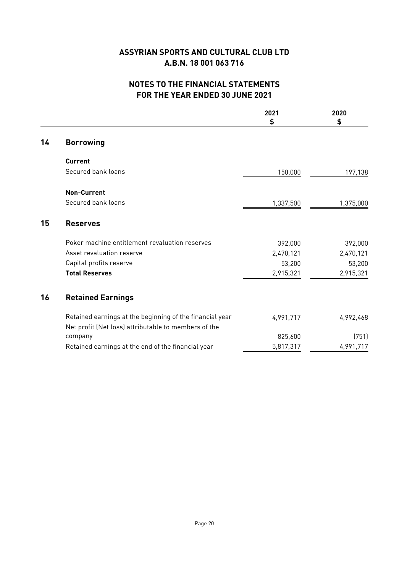# **NOTES TO THE FINANCIAL STATEMENTS FOR THE YEAR ENDED 30 JUNE 2021**

|    |                                                          | 2021<br>\$ | 2020<br>\$ |
|----|----------------------------------------------------------|------------|------------|
| 14 | <b>Borrowing</b>                                         |            |            |
|    | <b>Current</b>                                           |            |            |
|    | Secured bank loans                                       | 150,000    | 197,138    |
|    | <b>Non-Current</b>                                       |            |            |
|    | Secured bank loans                                       | 1,337,500  | 1,375,000  |
| 15 | <b>Reserves</b>                                          |            |            |
|    | Poker machine entitlement revaluation reserves           | 392,000    | 392,000    |
|    | Asset revaluation reserve                                | 2,470,121  | 2,470,121  |
|    | Capital profits reserve                                  | 53,200     | 53,200     |
|    | <b>Total Reserves</b>                                    | 2,915,321  | 2,915,321  |
| 16 | <b>Retained Earnings</b>                                 |            |            |
|    | Retained earnings at the beginning of the financial year | 4,991,717  | 4,992,468  |
|    | Net profit (Net loss) attributable to members of the     |            |            |
|    | company                                                  | 825,600    | (751)      |
|    | Retained earnings at the end of the financial year       | 5,817,317  | 4,991,717  |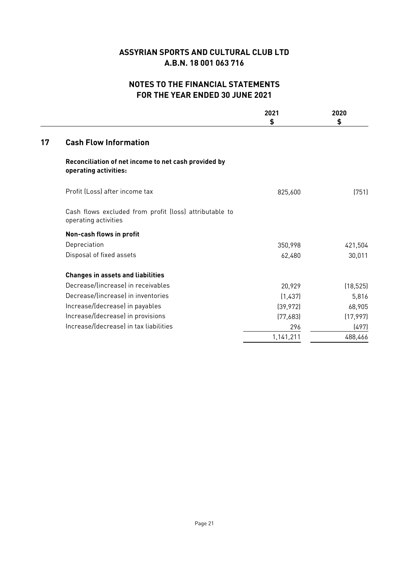## **NOTES TO THE FINANCIAL STATEMENTS FOR THE YEAR ENDED 30 JUNE 2021**

| (751)     |
|-----------|
|           |
|           |
| 421,504   |
| 30,011    |
|           |
| (18, 525) |
| 5,816     |
| 68,905    |
| (17, 997) |
| (497)     |
| 488,466   |
|           |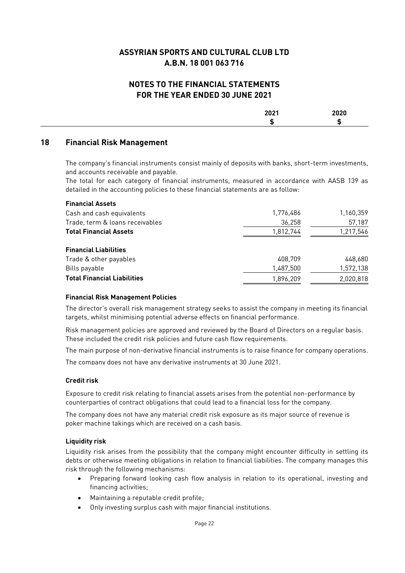#### **NOTES TO THE FINANCIAL STATEMENTS FOR THE YEAR ENDED 30 JUNE 2021**

| - - - - |  |
|---------|--|
|         |  |

#### **18 Financial Risk Management**

The company's financial instruments consist mainly of deposits with banks, short-term investments, and accounts receivable and payable.

The total for each category of financial instruments, measured in accordance with AASB 139 as detailed in the accounting policies to these financial statements are as follow:

| 1,776,486 | 1,160,359 |
|-----------|-----------|
| 36,258    | 57,187    |
| 1,812,744 | 1,217,546 |
|           |           |
| 408,709   | 448,680   |
| 1,487,500 | 1,572,138 |
| 1,896,209 | 2,020,818 |
|           |           |

#### **Financial Risk Management Policies**

The director's overall risk management strategy seeks to assist the company in meeting its financial targets, whilst minimising potential adverse effects on financial performance.

Risk management policies are approved and reviewed by the Board of Directors on a regular basis. These included the credit risk policies and future cash flow requirements.

The main purpose of non-derivative financial instruments is to raise finance for company operations.

The company does not have any derivative instruments at 30 June 2021.

#### **Credit risk**

Exposure to credit risk relating to financial assets arises from the potential non-performance by counterparties of contract obligations that could lead to a financial loss for the company.

The company does not have any material credit risk exposure as its major source of revenue is poker machine takings which are received on a cash basis.

#### **Liquidity risk**

Liquidity risk arises from the possibility that the company might encounter difficulty in settling its debts or otherwise meeting obligations in relation to financial liabilities. The company manages this risk through the following mechanisms:

- Preparing forward looking cash flow analysis in relation to its operational, investing and financing activities;
- Maintaining a reputable credit profile;
- Only investing surplus cash with major financial institutions.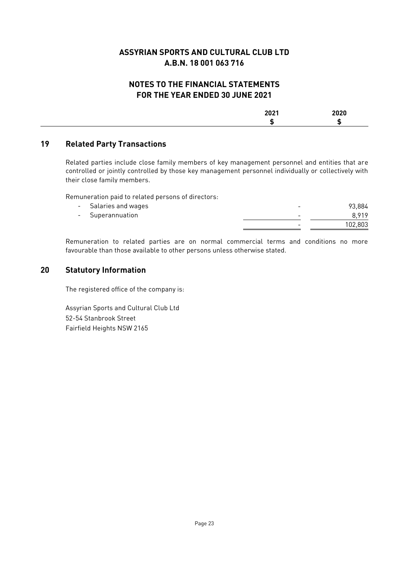### **NOTES TO THE FINANCIAL STATEMENTS FOR THE YEAR ENDED 30 JUNE 2021**

| $- - - -$ | ---- |
|-----------|------|
|           |      |

#### **19 Related Party Transactions**

Related parties include close family members of key management personnel and entities that are controlled or jointly controlled by those key management personnel individually or collectively with their close family members.

Remuneration paid to related persons of directors:

|        | Salaries and wages | - | 93.884  |
|--------|--------------------|---|---------|
| $\sim$ | Superannuation     | - | 8919    |
|        |                    | - | 102.803 |

Remuneration to related parties are on normal commercial terms and conditions no more favourable than those available to other persons unless otherwise stated.

#### **20 Statutory Information**

The registered office of the company is:

Assyrian Sports and Cultural Club Ltd 52-54 Stanbrook Street Fairfield Heights NSW 2165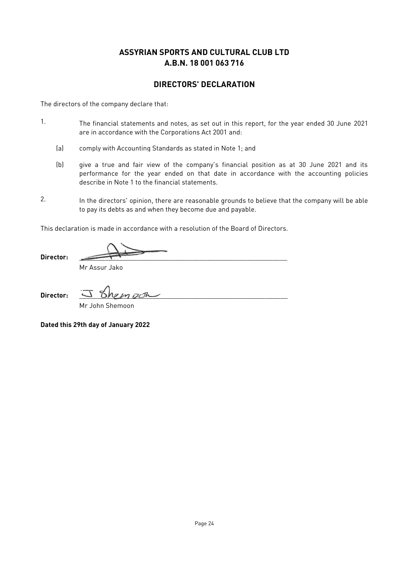#### **DIRECTORS' DECLARATION**

The directors of the company declare that:

- 1. The financial statements and notes, as set out in this report, for the year ended 30 June 2021 are in accordance with the Corporations Act 2001 and:
	- (a) comply with Accounting Standards as stated in Note 1; and
	- (b) give a true and fair view of the company's financial position as at 30 June 2021 and its performance for the year ended on that date in accordance with the accounting policies describe in Note 1 to the financial statements.
- 2. In the directors' opinion, there are reasonable grounds to believe that the company will be able to pay its debts as and when they become due and payable.

This declaration is made in accordance with a resolution of the Board of Directors.

Director:

Mr Assur Jako

**Director:** \_\_\_\_\_\_\_\_\_\_\_\_\_\_\_\_\_\_\_\_\_\_\_\_\_\_\_\_\_\_\_\_\_\_\_\_\_\_\_\_\_\_\_\_\_\_\_\_\_\_\_\_\_\_\_\_\_

Mr John Shemoon

**Dated this 29th day of January 2022**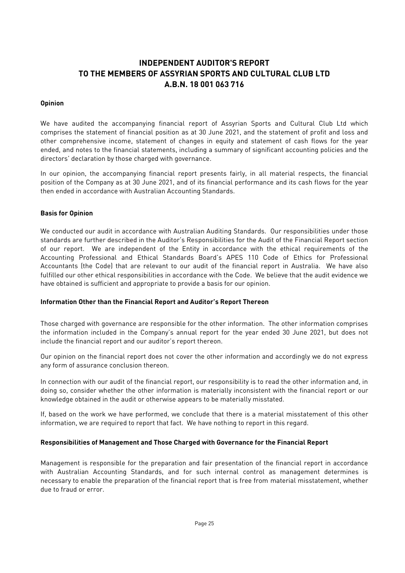# **INDEPENDENT AUDITOR'S REPORT TO THE MEMBERS OF ASSYRIAN SPORTS AND CULTURAL CLUB LTD A.B.N. 18 001 063 716**

#### **Opinion**

We have audited the accompanying financial report of Assyrian Sports and Cultural Club Ltd which comprises the statement of financial position as at 30 June 2021, and the statement of profit and loss and other comprehensive income, statement of changes in equity and statement of cash flows for the year ended, and notes to the financial statements, including a summary of significant accounting policies and the directors' declaration by those charged with governance.

In our opinion, the accompanying financial report presents fairly, in all material respects, the financial position of the Company as at 30 June 2021, and of its financial performance and its cash flows for the year then ended in accordance with Australian Accounting Standards.

#### **Basis for Opinion**

We conducted our audit in accordance with Australian Auditing Standards. Our responsibilities under those standards are further described in the Auditor's Responsibilities for the Audit of the Financial Report section of our report. We are independent of the Entity in accordance with the ethical requirements of the Accounting Professional and Ethical Standards Board's APES 110 Code of Ethics for Professional Accountants (the Code) that are relevant to our audit of the financial report in Australia. We have also fulfilled our other ethical responsibilities in accordance with the Code. We believe that the audit evidence we have obtained is sufficient and appropriate to provide a basis for our opinion.

#### **Information Other than the Financial Report and Auditor's Report Thereon**

Those charged with governance are responsible for the other information. The other information comprises the information included in the Company's annual report for the year ended 30 June 2021, but does not include the financial report and our auditor's report thereon.

Our opinion on the financial report does not cover the other information and accordingly we do not express any form of assurance conclusion thereon.

In connection with our audit of the financial report, our responsibility is to read the other information and, in doing so, consider whether the other information is materially inconsistent with the financial report or our knowledge obtained in the audit or otherwise appears to be materially misstated.

If, based on the work we have performed, we conclude that there is a material misstatement of this other information, we are required to report that fact. We have nothing to report in this regard.

#### **Responsibilities of Management and Those Charged with Governance for the Financial Report**

Management is responsible for the preparation and fair presentation of the financial report in accordance with Australian Accounting Standards, and for such internal control as management determines is necessary to enable the preparation of the financial report that is free from material misstatement, whether due to fraud or error.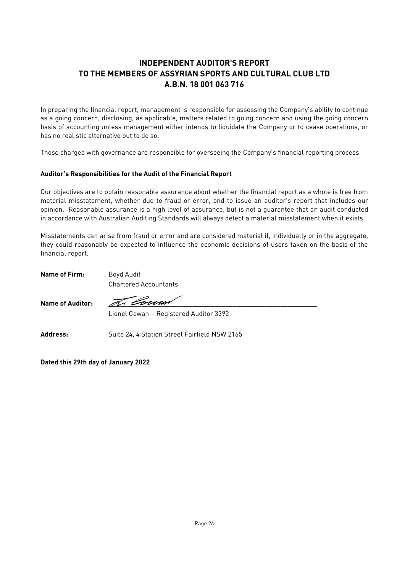# **INDEPENDENT AUDITOR'S REPORT TO THE MEMBERS OF ASSYRIAN SPORTS AND CULTURAL CLUB LTD A.B.N. 18 001 063 716**

In preparing the financial report, management is responsible for assessing the Company's ability to continue as a going concern, disclosing, as applicable, matters related to going concern and using the going concern basis of accounting unless management either intends to liquidate the Company or to cease operations, or has no realistic alternative but to do so.

Those charged with governance are responsible for overseeing the Company's financial reporting process.

#### **Auditor's Responsibilities for the Audit of the Financial Report**

Our objectives are to obtain reasonable assurance about whether the financial report as a whole is free from material misstatement, whether due to fraud or error, and to issue an auditor's report that includes our opinion. Reasonable assurance is a high level of assurance, but is not a guarantee that an audit conducted in accordance with Australian Auditing Standards will always detect a material misstatement when it exists.

Misstatements can arise from fraud or error and are considered material if, individually or in the aggregate, they could reasonably be expected to influence the economic decisions of users taken on the basis of the financial report.

**Name of Firm:** Boyd Audit

Chartered Accountants

Name of Auditor: Free Louse

Lionel Cowan – Registered Auditor 3392

Address: Suite 24, 4 Station Street Fairfield NSW 2165

**Dated this 29th day of January 2022**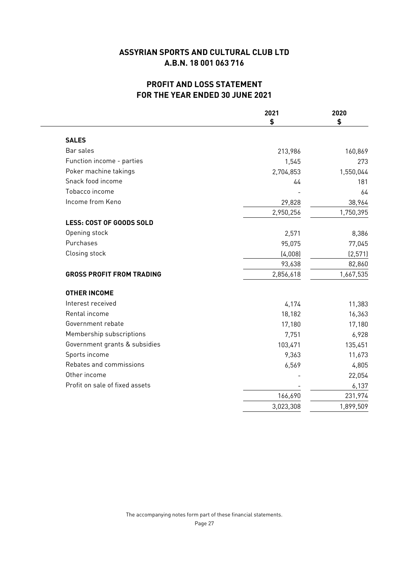# **PROFIT AND LOSS STATEMENT FOR THE YEAR ENDED 30 JUNE 2021**

|                                  | 2021      | 2020      |
|----------------------------------|-----------|-----------|
|                                  | \$        | \$        |
| <b>SALES</b>                     |           |           |
| Bar sales                        | 213,986   | 160,869   |
| Function income - parties        | 1,545     | 273       |
| Poker machine takings            | 2,704,853 | 1,550,044 |
| Snack food income                | 44        | 181       |
| Tobacco income                   |           | 64        |
| Income from Keno                 | 29,828    | 38,964    |
|                                  | 2,950,256 | 1,750,395 |
| LESS: COST OF GOODS SOLD         |           |           |
| Opening stock                    | 2,571     | 8,386     |
| Purchases                        | 95,075    | 77,045    |
| Closing stock                    | (4,008)   | (2, 571)  |
|                                  | 93,638    | 82,860    |
| <b>GROSS PROFIT FROM TRADING</b> | 2,856,618 | 1,667,535 |
| <b>OTHER INCOME</b>              |           |           |
| Interest received                | 4,174     | 11,383    |
| Rental income                    | 18,182    | 16,363    |
| Government rebate                | 17,180    | 17,180    |
| Membership subscriptions         | 7,751     | 6,928     |
| Government grants & subsidies    | 103,471   | 135,451   |
| Sports income                    | 9,363     | 11,673    |
| Rebates and commissions          | 6,569     | 4,805     |
| Other income                     |           | 22,054    |
| Profit on sale of fixed assets   |           | 6,137     |
|                                  | 166,690   | 231,974   |
|                                  | 3,023,308 | 1,899,509 |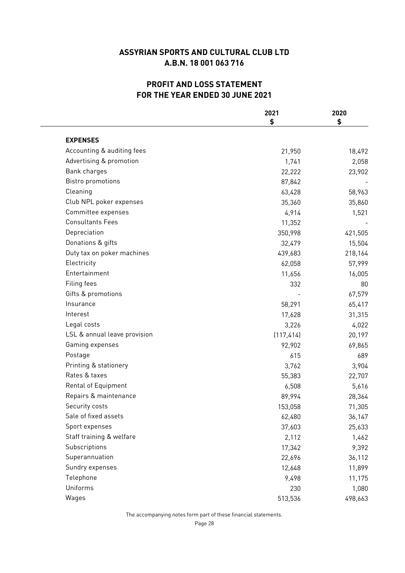# **PROFIT AND LOSS STATEMENT FOR THE YEAR ENDED 30 JUNE 2021**

|                              | 2021       | 2020    |
|------------------------------|------------|---------|
|                              | \$         | \$      |
| <b>EXPENSES</b>              |            |         |
| Accounting & auditing fees   | 21,950     | 18,492  |
| Advertising & promotion      | 1,741      | 2,058   |
| Bank charges                 | 22,222     | 23,902  |
| <b>Bistro promotions</b>     | 87,842     |         |
| Cleaning                     | 63,428     | 58,963  |
| Club NPL poker expenses      | 35,360     | 35,860  |
| Committee expenses           | 4,914      | 1,521   |
| <b>Consultants Fees</b>      | 11,352     |         |
| Depreciation                 | 350,998    | 421,505 |
| Donations & gifts            | 32,479     | 15,504  |
| Duty tax on poker machines   | 439,683    | 218,164 |
| Electricity                  | 62,058     | 57,999  |
| Entertainment                | 11,656     | 16,005  |
| Filing fees                  | 332        | 80      |
| Gifts & promotions           |            | 67,579  |
| Insurance                    | 58,291     | 65,417  |
| Interest                     | 17,628     | 31,315  |
| Legal costs                  | 3,226      | 4,022   |
| LSL & annual leave provision | (117, 414) | 20,197  |
| Gaming expenses              | 92,902     | 69,865  |
| Postage                      | 615        | 689     |
| Printing & stationery        | 3,762      | 3,904   |
| Rates & taxes                | 55,383     | 22,707  |
| <b>Rental of Equipment</b>   | 6,508      | 5,616   |
| Repairs & maintenance        | 89,994     | 28,364  |
| Security costs               | 153,058    | 71,305  |
| Sale of fixed assets         | 62,480     | 36,147  |
| Sport expenses               | 37,603     | 25,633  |
| Staff training & welfare     | 2,112      | 1,462   |
| Subscriptions                | 17,342     | 9,392   |
| Superannuation               | 22,696     | 36,112  |
| Sundry expenses              | 12,648     | 11,899  |
| Telephone                    | 9,498      | 11,175  |
| Uniforms                     | 230        | 1,080   |
| Wages                        | 513,536    | 498,663 |

The accompanying notes form part of these financial statements.